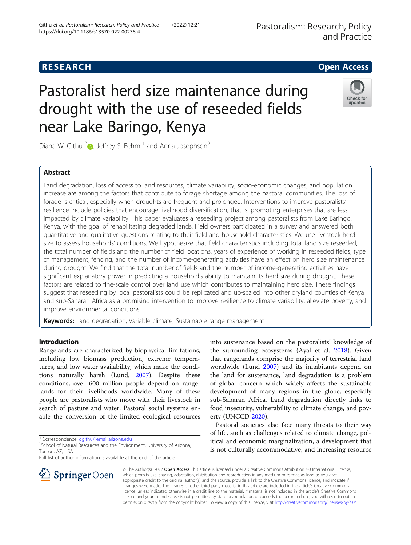# **RESEARCH CHE Open Access**

# Pastoralist herd size maintenance during drought with the use of reseeded fields near Lake Baringo, Kenya



Diana W. Githu<sup>1\*</sup>  $\bullet$ , Jeffrey S. Fehmi<sup>1</sup> and Anna Josephson<sup>2</sup>

# Abstract

Land degradation, loss of access to land resources, climate variability, socio-economic changes, and population increase are among the factors that contribute to forage shortage among the pastoral communities. The loss of forage is critical, especially when droughts are frequent and prolonged. Interventions to improve pastoralists' resilience include policies that encourage livelihood diversification, that is, promoting enterprises that are less impacted by climate variability. This paper evaluates a reseeding project among pastoralists from Lake Baringo, Kenya, with the goal of rehabilitating degraded lands. Field owners participated in a survey and answered both quantitative and qualitative questions relating to their field and household characteristics. We use livestock herd size to assess households' conditions. We hypothesize that field characteristics including total land size reseeded, the total number of fields and the number of field locations, years of experience of working in reseeded fields, type of management, fencing, and the number of income-generating activities have an effect on herd size maintenance during drought. We find that the total number of fields and the number of income-generating activities have significant explanatory power in predicting a household's ability to maintain its herd size during drought. These factors are related to fine-scale control over land use which contributes to maintaining herd size. These findings suggest that reseeding by local pastoralists could be replicated and up-scaled into other dryland counties of Kenya and sub-Saharan Africa as a promising intervention to improve resilience to climate variability, alleviate poverty, and improve environmental conditions.

**Keywords:** Land degradation, Variable climate, Sustainable range management

## Introduction

Rangelands are characterized by biophysical limitations, including low biomass production, extreme temperatures, and low water availability, which make the conditions naturally harsh (Lund, [2007](#page-8-0)). Despite these conditions, over 600 million people depend on rangelands for their livelihoods worldwide. Many of these people are pastoralists who move with their livestock in search of pasture and water. Pastoral social systems enable the conversion of the limited ecological resources

\* Correspondence: [dgithu@email.arizona.edu](mailto:dgithu@email.arizona.edu) <sup>1</sup>

Full list of author information is available at the end of the article

into sustenance based on the pastoralists' knowledge of the surrounding ecosystems (Ayal et al. [2018\)](#page-8-0). Given that rangelands comprise the majority of terrestrial land worldwide (Lund [2007](#page-8-0)) and its inhabitants depend on the land for sustenance, land degradation is a problem of global concern which widely affects the sustainable development of many regions in the globe, especially sub-Saharan Africa. Land degradation directly links to food insecurity, vulnerability to climate change, and poverty (UNCCD [2020](#page-9-0)).

Pastoral societies also face many threats to their way of life, such as challenges related to climate change, political and economic marginalization, a development that is not culturally accommodative, and increasing resource



© The Author(s). 2022 Open Access This article is licensed under a Creative Commons Attribution 4.0 International License, which permits use, sharing, adaptation, distribution and reproduction in any medium or format, as long as you give appropriate credit to the original author(s) and the source, provide a link to the Creative Commons licence, and indicate if changes were made. The images or other third party material in this article are included in the article's Creative Commons licence, unless indicated otherwise in a credit line to the material. If material is not included in the article's Creative Commons licence and your intended use is not permitted by statutory regulation or exceeds the permitted use, you will need to obtain permission directly from the copyright holder. To view a copy of this licence, visit <http://creativecommons.org/licenses/by/4.0/>.

<sup>&</sup>lt;sup>1</sup>School of Natural Resources and the Environment, University of Arizona, Tucson, AZ, USA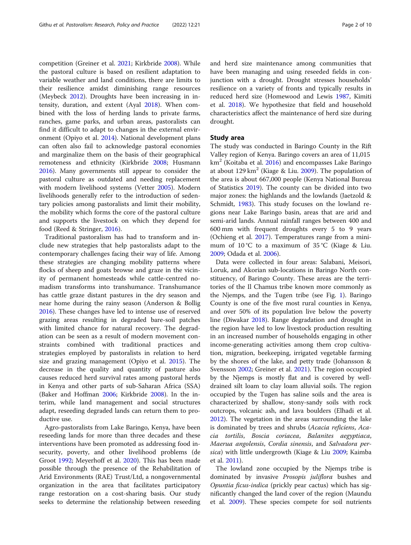competition (Greiner et al. [2021](#page-8-0); Kirkbride [2008](#page-8-0)). While the pastoral culture is based on resilient adaptation to variable weather and land conditions, there are limits to their resilience amidst diminishing range resources (Meybeck [2012\)](#page-8-0). Droughts have been increasing in intensity, duration, and extent (Ayal [2018\)](#page-8-0). When combined with the loss of herding lands to private farms, ranches, game parks, and urban areas, pastoralists can find it difficult to adapt to changes in the external environment (Opiyo et al. [2014](#page-9-0)). National development plans can often also fail to acknowledge pastoral economies and marginalize them on the basis of their geographical remoteness and ethnicity (Kirkbride [2008;](#page-8-0) Husmann [2016](#page-8-0)). Many governments still appear to consider the pastoral culture as outdated and needing replacement with modern livelihood systems (Vetter [2005\)](#page-9-0). Modern livelihoods generally refer to the introduction of sedentary policies among pastoralists and limit their mobility, the mobility which forms the core of the pastoral culture and supports the livestock on which they depend for food (Reed & Stringer, [2016\)](#page-9-0).

Traditional pastoralism has had to transform and include new strategies that help pastoralists adapt to the contemporary challenges facing their way of life. Among these strategies are changing mobility patterns where flocks of sheep and goats browse and graze in the vicinity of permanent homesteads while cattle-centred nomadism transforms into transhumance. Transhumance has cattle graze distant pastures in the dry season and near home during the rainy season (Anderson & Bollig [2016](#page-8-0)). These changes have led to intense use of reserved grazing areas resulting in degraded bare-soil patches with limited chance for natural recovery. The degradation can be seen as a result of modern movement constraints combined with traditional practices and strategies employed by pastoralists in relation to herd size and grazing management (Opiyo et al. [2015\)](#page-9-0). The decrease in the quality and quantity of pasture also causes reduced herd survival rates among pastoral herds in Kenya and other parts of sub-Saharan Africa (SSA) (Baker and Hoffman [2006](#page-8-0); Kirkbride [2008](#page-8-0)). In the interim, while land management and social structures adapt, reseeding degraded lands can return them to productive use.

Agro-pastoralists from Lake Baringo, Kenya, have been reseeding lands for more than three decades and these interventions have been promoted as addressing food insecurity, poverty, and other livelihood problems (de Groot [1992](#page-8-0); Meyerhoff et al. [2020](#page-9-0)). This has been made possible through the presence of the Rehabilitation of Arid Environments (RAE) Trust/Ltd, a nongovernmental organization in the area that facilitates participatory range restoration on a cost-sharing basis. Our study seeks to determine the relationship between reseeding

and herd size maintenance among communities that have been managing and using reseeded fields in conjunction with a drought. Drought stresses households' resilience on a variety of fronts and typically results in reduced herd size (Homewood and Lewis [1987](#page-8-0), Kimiti et al. [2018\)](#page-8-0). We hypothesize that field and household characteristics affect the maintenance of herd size during drought.

#### Study area

The study was conducted in Baringo County in the Rift Valley region of Kenya. Baringo covers an area of 11,015  $km<sup>2</sup>$  (Koitaba et al. [2016](#page-8-0)) and encompasses Lake Baringo at about 129 km<sup>2</sup> (Kiage & Liu. [2009\)](#page-8-0). The population of the area is about 667,000 people (Kenya National Bureau of Statistics [2019](#page-8-0)). The county can be divided into two major zones: the highlands and the lowlands (Jaetzold & Schmidt, [1983\)](#page-8-0). This study focuses on the lowland regions near Lake Baringo basin, areas that are arid and semi-arid lands. Annual rainfall ranges between 400 and 600 mm with frequent droughts every 5 to 9 years (Ochieng et al. [2017](#page-9-0)). Temperatures range from a minimum of 10 °C to a maximum of 35 °C (Kiage & Liu. [2009](#page-8-0); Odada et al. [2006](#page-9-0)).

Data were collected in four areas: Salabani, Meisori, Loruk, and Akorian sub-locations in Baringo North constituency, of Baringo County. These areas are the territories of the Il Chamus tribe known more commonly as the Njemps, and the Tugen tribe (see Fig. [1\)](#page-2-0). Baringo County is one of the five most rural counties in Kenya, and over 50% of its population live below the poverty line (Diwakar [2018](#page-8-0)). Range degradation and drought in the region have led to low livestock production resulting in an increased number of households engaging in other income-generating activities among them crop cultivation, migration, beekeeping, irrigated vegetable farming by the shores of the lake, and petty trade (Johansson & Svensson [2002;](#page-8-0) Greiner et al. [2021\)](#page-8-0). The region occupied by the Njemps is mostly flat and is covered by welldrained silt loam to clay loam alluvial soils. The region occupied by the Tugen has saline soils and the area is characterized by shallow, stony-sandy soils with rock outcrops, volcanic ash, and lava boulders (Elhadi et al. [2012](#page-8-0)). The vegetation in the areas surrounding the lake is dominated by trees and shrubs (Acacia reficiens, Acacia tortilis, Boscia coriacea, Balanites aegyptiaca, Maerua angolensis, Cordia sinensis, and Salvadora per-sica) with little undergrowth (Kiage & Liu [2009;](#page-8-0) Kaimba et al. [2011\)](#page-8-0).

The lowland zone occupied by the Njemps tribe is dominated by invasive *Prosopis juliflora* bushes and Opuntia ficus-indica (prickly pear cactus) which has significantly changed the land cover of the region (Maundu et al. [2009](#page-8-0)). These species compete for soil nutrients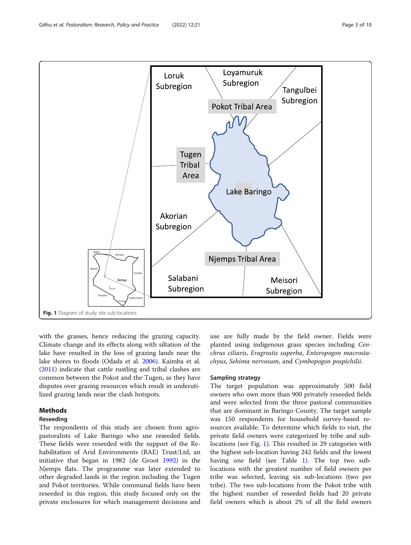<span id="page-2-0"></span>

with the grasses, hence reducing the grazing capacity. Climate change and its effects along with siltation of the lake have resulted in the loss of grazing lands near the lake shores to floods (Odada et al. [2006\)](#page-9-0). Kaimba et al. ([2011](#page-8-0)) indicate that cattle rustling and tribal clashes are common between the Pokot and the Tugen, as they have disputes over grazing resources which result in underutilized grazing lands near the clash hotspots.

# Methods

#### Reseeding

The respondents of this study are chosen from agropastoralists of Lake Baringo who use reseeded fields. These fields were reseeded with the support of the Rehabilitation of Arid Environments (RAE) Trust/Ltd, an initiative that began in 1982 (de Groot [1992](#page-8-0)) in the Njemps flats. The programme was later extended to other degraded lands in the region including the Tugen and Pokot territories. While communal fields have been reseeded in this region, this study focused only on the private enclosures for which management decisions and

use are fully made by the field owner. Fields were planted using indigenous grass species including Cenchrus ciliaris, Eragrostis superba, Enteropogon macrostachyus, Sehima nervosum, and Cymbopogon pospichilii.

#### Sampling strategy

The target population was approximately 500 field owners who own more than 900 privately reseeded fields and were selected from the three pastoral communities that are dominant in Baringo County. The target sample was 150 respondents for household survey-based resources available. To determine which fields to visit, the private field owners were categorized by tribe and sublocations (see Fig. 1). This resulted in 29 categories with the highest sub-location having 242 fields and the lowest having one field (see Table [1\)](#page-3-0). The top two sublocations with the greatest number of field owners per tribe was selected, leaving six sub-locations (two per tribe). The two sub-locations from the Pokot tribe with the highest number of reseeded fields had 20 private field owners which is about 2% of all the field owners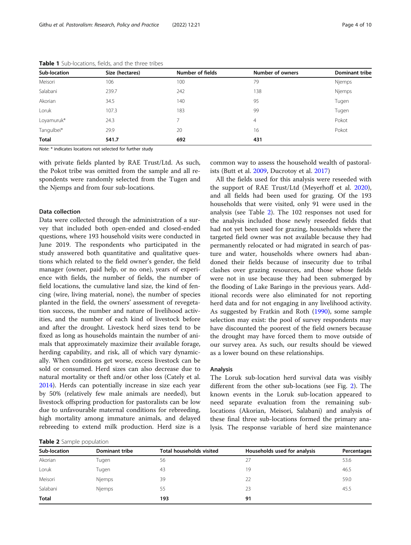| Sub-location | Size (hectares) | Number of fields | Number of owners | <b>Dominant tribe</b> |
|--------------|-----------------|------------------|------------------|-----------------------|
| Meisori      | 106             | 100              | 79               | <b>Njemps</b>         |
| Salabani     | 239.7           | 242              | 138              | Njemps                |
| Akorian      | 34.5            | 140              | 95               | Tugen                 |
| Loruk        | 107.3           | 183              | 99               | Tugen                 |
| Loyamuruk*   | 24.3            |                  | $\overline{4}$   | Pokot                 |
| Tangulbei*   | 29.9            | 20               | 16               | Pokot                 |
| <b>Total</b> | 541.7           | 692              | 431              |                       |

<span id="page-3-0"></span>Table 1 Sub-locations, fields, and the three tribes

Note: \* indicates locations not selected for further study

with private fields planted by RAE Trust/Ltd. As such, the Pokot tribe was omitted from the sample and all respondents were randomly selected from the Tugen and the Njemps and from four sub-locations.

#### Data collection

Data were collected through the administration of a survey that included both open-ended and closed-ended questions, where 193 household visits were conducted in June 2019. The respondents who participated in the study answered both quantitative and qualitative questions which related to the field owner's gender, the field manager (owner, paid help, or no one), years of experience with fields, the number of fields, the number of field locations, the cumulative land size, the kind of fencing (wire, living material, none), the number of species planted in the field, the owners' assessment of revegetation success, the number and nature of livelihood activities, and the number of each kind of livestock before and after the drought. Livestock herd sizes tend to be fixed as long as households maintain the number of animals that approximately maximize their available forage, herding capability, and risk, all of which vary dynamically. When conditions get worse, excess livestock can be sold or consumed. Herd sizes can also decrease due to natural mortality or theft and/or other loss (Cately et al. [2014](#page-8-0)). Herds can potentially increase in size each year by 50% (relatively few male animals are needed), but livestock offspring production for pastoralists can be low due to unfavourable maternal conditions for rebreeding, high mortality among immature animals, and delayed rebreeding to extend milk production. Herd size is a

common way to assess the household wealth of pastoralists (Butt et al. [2009,](#page-8-0) Ducrotoy et al. [2017](#page-8-0))

All the fields used for this analysis were reseeded with the support of RAE Trust/Ltd (Meyerhoff et al. [2020](#page-9-0)), and all fields had been used for grazing. Of the 193 households that were visited, only 91 were used in the analysis (see Table 2). The 102 responses not used for the analysis included those newly reseeded fields that had not yet been used for grazing, households where the targeted field owner was not available because they had permanently relocated or had migrated in search of pasture and water, households where owners had abandoned their fields because of insecurity due to tribal clashes over grazing resources, and those whose fields were not in use because they had been submerged by the flooding of Lake Baringo in the previous years. Additional records were also eliminated for not reporting herd data and for not engaging in any livelihood activity. As suggested by Fratkin and Roth ([1990](#page-8-0)), some sample selection may exist: the pool of survey respondents may have discounted the poorest of the field owners because the drought may have forced them to move outside of our survey area. As such, our results should be viewed as a lower bound on these relationships.

#### Analysis

The Loruk sub-location herd survival data was visibly different from the other sub-locations (see Fig. [2\)](#page-4-0). The known events in the Loruk sub-location appeared to need separate evaluation from the remaining sublocations (Akorian, Meisori, Salabani) and analysis of these final three sub-locations formed the primary analysis. The response variable of herd size maintenance

|  |  |  | Table 2 Sample population |
|--|--|--|---------------------------|
|--|--|--|---------------------------|

| Sub-location | Dominant tribe | <b>Total households visited</b> | Households used for analysis | Percentages |
|--------------|----------------|---------------------------------|------------------------------|-------------|
| Akorian      | Tugen          | 56                              |                              | 53.6        |
| Loruk        | Tugen          | 43                              | 19                           | 46.5        |
| Meisori      | Njemps         | 39                              | 22                           | 59.0        |
| Salabani     | Njemps         | 55                              | 23                           | 45.5        |
| Total        |                | 193                             | 91                           |             |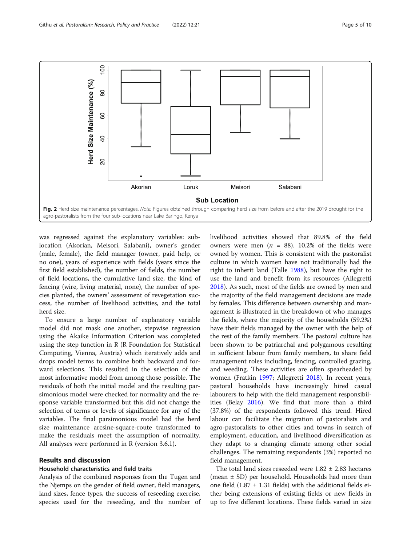<span id="page-4-0"></span>

was regressed against the explanatory variables: sublocation (Akorian, Meisori, Salabani), owner's gender (male, female), the field manager (owner, paid help, or no one), years of experience with fields (years since the first field established), the number of fields, the number of field locations, the cumulative land size, the kind of fencing (wire, living material, none), the number of species planted, the owners' assessment of revegetation success, the number of livelihood activities, and the total herd size.

To ensure a large number of explanatory variable model did not mask one another, stepwise regression using the Akaike Information Criterion was completed using the step function in R (R Foundation for Statistical Computing, Vienna, Austria) which iteratively adds and drops model terms to combine both backward and forward selections. This resulted in the selection of the most informative model from among those possible. The residuals of both the initial model and the resulting parsimonious model were checked for normality and the response variable transformed but this did not change the selection of terms or levels of significance for any of the variables. The final parsimonious model had the herd size maintenance arcsine-square-route transformed to make the residuals meet the assumption of normality. All analyses were performed in R (version 3.6.1).

#### Results and discussion

#### Household characteristics and field traits

Analysis of the combined responses from the Tugen and the Njemps on the gender of field owner, field managers, land sizes, fence types, the success of reseeding exercise, species used for the reseeding, and the number of livelihood activities showed that 89.8% of the field owners were men ( $n = 88$ ). 10.2% of the fields were owned by women. This is consistent with the pastoralist culture in which women have not traditionally had the right to inherit land (Talle [1988](#page-9-0)), but have the right to use the land and benefit from its resources (Allegretti [2018](#page-8-0)). As such, most of the fields are owned by men and the majority of the field management decisions are made by females. This difference between ownership and management is illustrated in the breakdown of who manages the fields, where the majority of the households (59.2%) have their fields managed by the owner with the help of the rest of the family members. The pastoral culture has been shown to be patriarchal and polygamous resulting in sufficient labour from family members, to share field management roles including, fencing, controlled grazing, and weeding. These activities are often spearheaded by women (Fratkin [1997](#page-8-0); Allegretti [2018\)](#page-8-0). In recent years, pastoral households have increasingly hired casual labourers to help with the field management responsibilities (Belay [2016](#page-8-0)). We find that more than a third (37.8%) of the respondents followed this trend. Hired labour can facilitate the migration of pastoralists and agro-pastoralists to other cities and towns in search of employment, education, and livelihood diversification as they adapt to a changing climate among other social challenges. The remaining respondents (3%) reported no field management.

The total land sizes reseeded were  $1.82 \pm 2.83$  hectares (mean ± SD) per household. Households had more than one field  $(1.87 \pm 1.31$  fields) with the additional fields either being extensions of existing fields or new fields in up to five different locations. These fields varied in size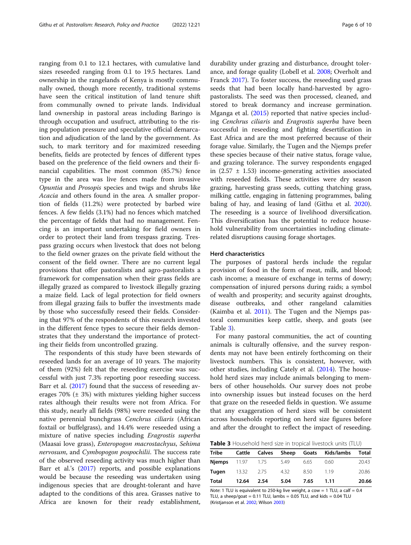ranging from 0.1 to 12.1 hectares, with cumulative land sizes reseeded ranging from 0.1 to 19.5 hectares. Land ownership in the rangelands of Kenya is mostly communally owned, though more recently, traditional systems have seen the critical institution of land tenure shift from communally owned to private lands. Individual land ownership in pastoral areas including Baringo is through occupation and usufruct, attributing to the rising population pressure and speculative official demarcation and adjudication of the land by the government. As such, to mark territory and for maximized reseeding benefits, fields are protected by fences of different types based on the preference of the field owners and their financial capabilities. The most common (85.7%) fence type in the area was live fences made from invasive Opuntia and Prosopis species and twigs and shrubs like Acacia and others found in the area. A smaller proportion of fields (11.2%) were protected by barbed wire fences. A few fields (3.1%) had no fences which matched the percentage of fields that had no management. Fencing is an important undertaking for field owners in order to protect their land from trespass grazing. Trespass grazing occurs when livestock that does not belong to the field owner grazes on the private field without the consent of the field owner. There are no current legal provisions that offer pastoralists and agro-pastoralists a framework for compensation when their grass fields are illegally grazed as compared to livestock illegally grazing a maize field. Lack of legal protection for field owners from illegal grazing fails to buffer the investments made by those who successfully reseed their fields. Considering that 97% of the respondents of this research invested in the different fence types to secure their fields demonstrates that they understand the importance of protecting their fields from uncontrolled grazing.

The respondents of this study have been stewards of reseeded lands for an average of 10 years. The majority of them (92%) felt that the reseeding exercise was successful with just 7.3% reporting poor reseeding success. Barr et al. ([2017](#page-8-0)) found that the success of reseeding averages  $70\%$  ( $\pm$  3%) with mixtures yielding higher success rates although their results were not from Africa. For this study, nearly all fields (98%) were reseeded using the native perennial bunchgrass Cenchrus ciliaris (African foxtail or buffelgrass), and 14.4% were reseeded using a mixture of native species including Eragrostis superba (Maasai love grass), Enteropogon macrostachyus, Sehima nervosum, and Cymbopogon pospochilii. The success rate of the observed reseeding activity was much higher than Barr et al.'s [\(2017\)](#page-8-0) reports, and possible explanations would be because the reseeding was undertaken using indigenous species that are drought-tolerant and have adapted to the conditions of this area. Grasses native to Africa are known for their ready establishment,

durability under grazing and disturbance, drought tolerance, and forage quality (Lobell et al. [2008;](#page-8-0) Overholt and Franck [2017](#page-9-0)). To foster success, the reseeding used grass seeds that had been locally hand-harvested by agropastoralists. The seed was then processed, cleaned, and stored to break dormancy and increase germination. Mganga et al. ([2015](#page-9-0)) reported that native species including Cenchrus ciliaris and Eragrostis superba have been successful in reseeding and fighting desertification in East Africa and are the most preferred because of their forage value. Similarly, the Tugen and the Njemps prefer these species because of their native status, forage value, and grazing tolerance. The survey respondents engaged in  $(2.57 \pm 1.53)$  income-generating activities associated with reseeded fields. These activities were dry season grazing, harvesting grass seeds, cutting thatching grass, milking cattle, engaging in fattening programmes, baling baling of hay, and leasing of land (Githu et al. [2020](#page-8-0)). The reseeding is a source of livelihood diversification. This diversification has the potential to reduce household vulnerability from uncertainties including climaterelated disruptions causing forage shortages.

#### Herd characteristics

The purposes of pastoral herds include the regular provision of food in the form of meat, milk, and blood; cash income; a measure of exchange in terms of dowry; compensation of injured persons during raids; a symbol of wealth and prosperity; and security against droughts, disease outbreaks, and other rangeland calamities (Kaimba et al. [2011](#page-8-0)). The Tugen and the Njemps pastoral communities keep cattle, sheep, and goats (see Table 3).

For many pastoral communities, the act of counting animals is culturally offensive, and the survey respondents may not have been entirely forthcoming on their livestock numbers. This is consistent, however, with other studies, including Cately et al. [\(2014](#page-8-0)). The household herd sizes may include animals belonging to members of other households. Our survey does not probe into ownership issues but instead focuses on the herd that graze on the reseeded fields in question. We assume that any exaggeration of herd sizes will be consistent across households reporting on herd size figures before and after the drought to reflect the impact of reseeding.

Table 3 Household herd size in tropical livestock units (TLU)

| Tribe                       |       |      |      |      | Cattle Calves Sheep Goats Kids/lambs | Total |
|-----------------------------|-------|------|------|------|--------------------------------------|-------|
| <b>Niemps</b> 11.97 1.75    |       |      | 5.49 | 6.65 | 0.60                                 | 20.43 |
| <b>Tugen</b> $13.32$ $2.75$ |       |      | 4.32 | 850  | - 119                                | 20.86 |
| Total                       | 12.64 | 2.54 | 5.04 | 7.65 | 1.11                                 | 20.66 |

Note: 1 TLU is equivalent to 250-kg live weight, a cow = 1 TLU, a calf =  $0.4$ TLU, a sheep/goat =  $0.11$  TLU, lambs =  $0.05$  TLU, and kids =  $0.04$  TLU (Kristjanson et al. [2002;](#page-8-0) Wilson [2003\)](#page-9-0)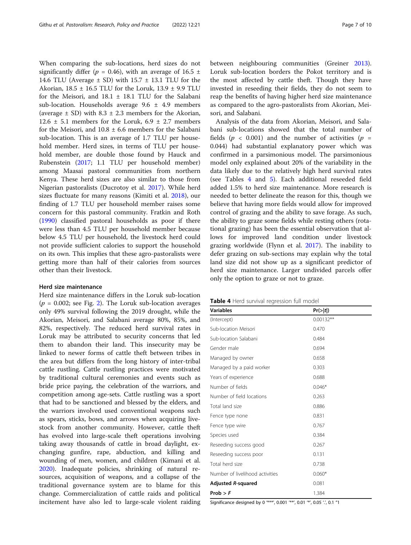When comparing the sub-locations, herd sizes do not significantly differ ( $p = 0.46$ ), with an average of 16.5  $\pm$ 14.6 TLU (Average  $\pm$  SD) with 15.7  $\pm$  13.1 TLU for the Akorian,  $18.5 \pm 16.5$  TLU for the Loruk,  $13.9 \pm 9.9$  TLU for the Meisori, and  $18.1 \pm 18.1$  TLU for the Salabani sub-location. Households average  $9.6 \pm 4.9$  members (average  $\pm$  SD) with 8.3  $\pm$  2.3 members for the Akorian, 12.6  $\pm$  5.1 members for the Loruk, 6.9  $\pm$  2.7 members for the Meisori, and  $10.8 \pm 6.6$  members for the Salabani sub-location. This is an average of 1.7 TLU per household member. Herd sizes, in terms of TLU per household member, are double those found by Hauck and Rubenstein [\(2017;](#page-8-0) 1.1 TLU per household member) among Maasai pastoral communities from northern Kenya. These herd sizes are also similar to those from Nigerian pastoralists (Ducrotoy et al. [2017](#page-8-0)). While herd sizes fluctuate for many reasons (Kimiti et al. [2018\)](#page-8-0), our finding of 1.7 TLU per household member raises some concern for this pastoral community. Fratkin and Roth ([1990](#page-8-0)) classified pastoral households as poor if there were less than 4.5 TLU per household member because below 4.5 TLU per household, the livestock herd could not provide sufficient calories to support the household on its own. This implies that these agro-pastoralists were getting more than half of their calories from sources other than their livestock.

#### Herd size maintenance

Herd size maintenance differs in the Loruk sub-location  $(p = 0.002;$  see Fig. [2\)](#page-4-0). The Loruk sub-location averages only 49% survival following the 2019 drought, while the Akorian, Meisori, and Salabani average 80%, 85%, and 82%, respectively. The reduced herd survival rates in Loruk may be attributed to security concerns that led them to abandon their land. This insecurity may be linked to newer forms of cattle theft between tribes in the area but differs from the long history of inter-tribal cattle rustling. Cattle rustling practices were motivated by traditional cultural ceremonies and events such as bride price paying, the celebration of the warriors, and competition among age-sets. Cattle rustling was a sport that had to be sanctioned and blessed by the elders, and the warriors involved used conventional weapons such as spears, sticks, bows, and arrows when acquiring livestock from another community. However, cattle theft has evolved into large-scale theft operations involving taking away thousands of cattle in broad daylight, exchanging gunfire, rape, abduction, and killing and wounding of men, women, and children (Kimani et al. [2020](#page-8-0)). Inadequate policies, shrinking of natural resources, acquisition of weapons, and a collapse of the traditional governance system are to blame for this change. Commercialization of cattle raids and political incitement have also led to large-scale violent raiding between neighbouring communities (Greiner [2013](#page-8-0)). Loruk sub-location borders the Pokot territory and is the most affected by cattle theft. Though they have invested in reseeding their fields, they do not seem to reap the benefits of having higher herd size maintenance as compared to the agro-pastoralists from Akorian, Meisori, and Salabani.

Analysis of the data from Akorian, Meisori, and Salabani sub-locations showed that the total number of fields ( $p < 0.001$ ) and the number of activities ( $p =$ 0.044) had substantial explanatory power which was confirmed in a parsimonious model. The parsimonious model only explained about 20% of the variability in the data likely due to the relatively high herd survival rates (see Tables 4 and [5](#page-7-0)). Each additional reseeded field added 1.5% to herd size maintenance. More research is needed to better delineate the reason for this, though we believe that having more fields would allow for improved control of grazing and the ability to save forage. As such, the ability to graze some fields while resting others (rotational grazing) has been the essential observation that allows for improved land condition under livestock grazing worldwide (Flynn et al. [2017](#page-8-0)). The inability to defer grazing on sub-sections may explain why the total land size did not show up as a significant predictor of herd size maintenance. Larger undivided parcels offer only the option to graze or not to graze.

|  | Table 4 Herd survival regression full model |
|--|---------------------------------------------|
|--|---------------------------------------------|

| <b>Variables</b>                | Pr(> t )    |  |
|---------------------------------|-------------|--|
| (Intercept)                     | $0.00132**$ |  |
| Sub-location Meisori            | 0.470       |  |
| Sub-location Salabani           | 0.484       |  |
| Gender male                     | 0.694       |  |
| Managed by owner                | 0.658       |  |
| Managed by a paid worker        | 0.303       |  |
| Years of experience             | 0.688       |  |
| Number of fields                | $0.046*$    |  |
| Number of field locations       | 0.263       |  |
| Total land size                 | 0.886       |  |
| Fence type none                 | 0.831       |  |
| Fence type wire                 | 0.767       |  |
| Species used                    | 0.384       |  |
| Reseeding success good          | 0.267       |  |
| Reseeding success poor          | 0.131       |  |
| Total herd size                 | 0.738       |  |
| Number of livelihood activities | $0.060*$    |  |
| Adjusted R-squared              | 0.081       |  |
| Prob > F                        | 1.384       |  |

Significance designed by 0 '\*\*\*', 0.001 '\*\*', 0.01 '\*', 0.05 '.', 0.1 "1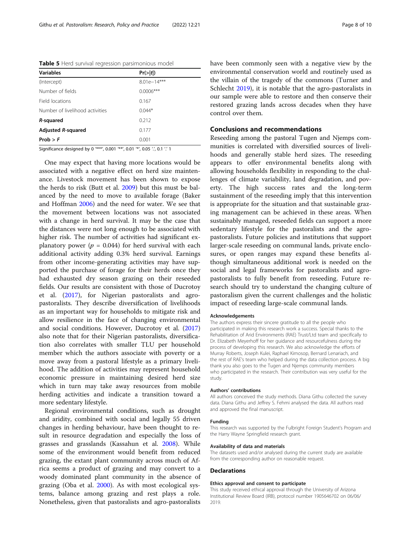<span id="page-7-0"></span>Table 5 Herd survival regression parsimonious model

| <b>Variables</b>                | Pr(> t )      |
|---------------------------------|---------------|
| (Intercept)                     | $8.01e-14***$ |
| Number of fields                | $0.0006***$   |
| Field locations                 | 0.167         |
| Number of livelihood activities | $0.044*$      |
| R-squared                       | 0.212         |
| Adjusted R-squared              | 0.177         |
| Prob > F                        | 0.001         |

Significance designed by 0 '\*\*\*', 0.001 '\*\*', 0.01 '\*', 0.05 '.', 0.1 '.' 1

One may expect that having more locations would be associated with a negative effect on herd size maintenance. Livestock movement has been shown to expose the herds to risk (Butt et al. [2009](#page-8-0)) but this must be balanced by the need to move to available forage (Baker and Hoffman [2006](#page-8-0)) and the need for water. We see that the movement between locations was not associated with a change in herd survival. It may be the case that the distances were not long enough to be associated with higher risk. The number of activities had significant explanatory power ( $p = 0.044$ ) for herd survival with each additional activity adding 0.3% herd survival. Earnings from other income-generating activities may have supported the purchase of forage for their herds once they had exhausted dry season grazing on their reseeded fields. Our results are consistent with those of Ducrotoy et al. ([2017](#page-8-0)), for Nigerian pastoralists and agropastoralists. They describe diversification of livelihoods as an important way for households to mitigate risk and allow resilience in the face of changing environmental and social conditions. However, Ducrotoy et al. ([2017](#page-8-0)) also note that for their Nigerian pastoralists, diversification also correlates with smaller TLU per household member which the authors associate with poverty or a move away from a pastoral lifestyle as a primary livelihood. The addition of activities may represent household economic pressure in maintaining desired herd size which in turn may take away resources from mobile herding activities and indicate a transition toward a more sedentary lifestyle.

Regional environmental conditions, such as drought and aridity, combined with social and legally 55 driven changes in herding behaviour, have been thought to result in resource degradation and especially the loss of grasses and grasslands (Kassahun et al. [2008\)](#page-8-0). While some of the environment would benefit from reduced grazing, the extant plant community across much of Africa seems a product of grazing and may convert to a woody dominated plant community in the absence of grazing (Oba et al. [2000\)](#page-9-0). As with most ecological systems, balance among grazing and rest plays a role. Nonetheless, given that pastoralists and agro-pastoralists

have been commonly seen with a negative view by the environmental conservation world and routinely used as the villain of the tragedy of the commons (Turner and Schlecht [2019](#page-9-0)), it is notable that the agro-pastoralists in our sample were able to restore and then conserve their restored grazing lands across decades when they have control over them.

#### Conclusions and recommendations

Reseeding among the pastoral Tugen and Njemps communities is correlated with diversified sources of livelihoods and generally stable herd sizes. The reseeding appears to offer environmental benefits along with allowing households flexibility in responding to the challenges of climate variability, land degradation, and poverty. The high success rates and the long-term sustainment of the reseeding imply that this intervention is appropriate for the situation and that sustainable grazing management can be achieved in these areas. When sustainably managed, reseeded fields can support a more sedentary lifestyle for the pastoralists and the agropastoralists. Future policies and institutions that support larger-scale reseeding on communal lands, private enclosures, or open ranges may expand these benefits although simultaneous additional work is needed on the social and legal frameworks for pastoralists and agropastoralists to fully benefit from reseeding. Future research should try to understand the changing culture of pastoralism given the current challenges and the holistic impact of reseeding large-scale communal lands.

#### Acknowledgements

The authors express their sincere gratitude to all the people who participated in making this research work a success. Special thanks to the Rehabilitation of Arid Environments (RAE) Trust/Ltd team and specifically to Dr. Elizabeth Meyerhoff for her guidance and resourcefulness during the process of developing this research. We also acknowledge the efforts of Murray Roberts, Joseph Kulei, Raphael Kimosop, Bernard Lenariach, and the rest of RAE's team who helped during the data collection process. A big thank you also goes to the Tugen and Njemps community members who participated in the research. Their contribution was very useful for the study.

#### Authors' contributions

All authors conceived the study methods. Diana Githu collected the survey data. Diana Githu and Jeffrey S. Fehmi analysed the data. All authors read and approved the final manuscript.

#### Funding

This research was supported by the Fulbright Foreign Student's Program and the Harry Wayne Springfield research grant.

#### Availability of data and materials

The datasets used and/or analysed during the current study are available from the corresponding author on reasonable request.

#### Declarations

#### Ethics approval and consent to participate

This study received ethical approval through the University of Arizona Institutional Review Board (IRB), protocol number 1905646702 on 06/06/ 2019.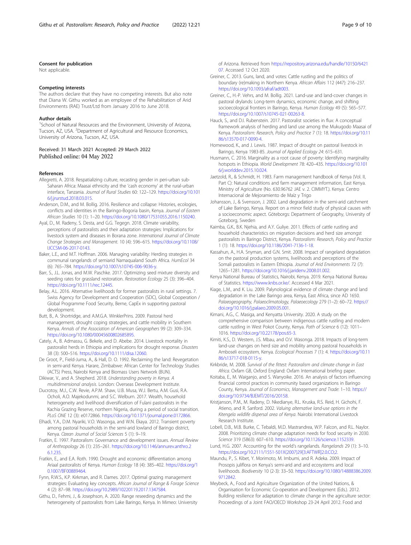#### <span id="page-8-0"></span>Consent for publication

Not applicable.

#### Competing interests

The authors declare that they have no competing interests. But also note that Diana W. Githu worked as an employee of the Rehabilitation of Arid Environments (RAE) Trust/Ltd from January 2016 to June 2018.

#### Author details

<sup>1</sup>School of Natural Resources and the Environment, University of Arizona, Tucson, AZ, USA. <sup>2</sup>Department of Agricultural and Resource Economics, University of Arizona, Tucson, AZ, USA.

#### Received: 31 March 2021 Accepted: 29 March 2022 Published online: 04 May 2022

#### References

- Allegretti, A. 2018. Respatializing culture, recasting gender in peri-urban sub-Saharan Africa: Maasai ethnicity and the 'cash economy' at the rural-urban interface, Tanzania. Journal of Rural Studies 60: 122–129. [https://doi.org/10.101](https://doi.org/10.1016/j.jrurstud.2018.03.015) [6/j.jrurstud.2018.03.015](https://doi.org/10.1016/j.jrurstud.2018.03.015).
- Anderson, D.M., and M. Bollig. 2016. Resilience and collapse: Histories, ecologies, conflicts and identities in the Baringo-Bogoria basin, Kenya. Journal of Eastern African Studies 10 (1): 1–20. <https://doi.org/10.1080/17531055.2016.1150240>.
- Ayal, D., M. Radeny, S. Desta, and G.G. Tegegn. 2018. Climate variability, perceptions of pastoralists and their adaptation strategies: Implications for livestock system and diseases in Borana zone. International Journal of Climate Change Strategies and Management. 10 (4): 596–615. [https://doi.org/10.1108/](https://doi.org/10.1108/IJCCSM-06-2017-0143) [IJCCSM-06-2017-0143.](https://doi.org/10.1108/IJCCSM-06-2017-0143)
- Baker, L.E., and M.T. Hoffman. 2006. Managing variability: Herding strategies in communal rangelands of semiarid Namaqualand South Africa. HumEcol 34 (6): 765–784. [https://doi.org/10.1007/s10745-006-9036-y.](https://doi.org/10.1007/s10745-006-9036-y)
- Barr, S., J.L. Jonas, and M.W. Paschke. 2017. Optimizing seed mixture diversity and seeding rates for grassland restoration. Restoration Ecology 25 (3): 396–404. [https://doi.org/10.1111/rec.12445.](https://doi.org/10.1111/rec.12445)
- Belay, A.L. 2016. Alternative livelihoods for former pastoralists in rural settings. 7. Swiss Agency for Development and Cooperation (SDC), Global Cooperation / Global Programme Food Security, Berne, CapEx in supporting pastoral development.
- Butt, B., A. Shortridge, and A.M.G.A. WinklerPrins. 2009. Pastoral herd management, drought coping strategies, and cattle mobility in Southern Kenya. Annals of the Association of American Geographers 99 (2): 309–334. [https://doi.org/10.1080/00045600802685895.](https://doi.org/10.1080/00045600802685895)
- Cately, A., B. Admassu, G. Bekele, and D. Abebe. 2014. Livestock mortality in pastoralist herds in Ethiopia and implications for drought response. Disasters 38 (3): 500–516. <https://doi.org/10.1111/disa.12060>.
- De Groot, P., Field-Juma, A., & Hall, D. O. 1992. Reclaiming the land: Revegetation in semi-arid Kenya. Harare, Zimbabwe: African Center for Technology Studies (ACTS) Press, Nairobi Kenya and Biomass Users Network (BUN).
- Dikiwar, V., and A. Shepherd. 2018. Understanding poverty in Kenya. A multidimensional analysis. London: Overseas Development Institute.
- Ducrotoy, M.J., C.W. Revie, A.P.M. Shaw, U.B. Musa, W.J. Bertu, A.M. Gusi, R.A. Ocholi, A.O. Majekodunmi, and S.C. Welburn. 2017. Wealth, household heterogeneity and livelihood diversification of Fulani pastoralists in the Kachia Grazing Reserve, northern Nigeria, during a period of social transition. PLoS ONE 12 (3): e0172866. [https://doi.org/10.1371/journal.pone.0172866.](https://doi.org/10.1371/journal.pone.0172866)
- Elhadi, Y.A., D.M. Nyariki, V.O. Wasonga, and W.N. Ekaya. 2012. Transient poverty among pastoral households in the semi-arid lowland of Baringo district, Kenya. Ozean Journal of Social Sciences 5 (1): 9–19.
- Fratkin, E. 1997. Pastoralism: Governance and development issues. Annual Review of Anthropology 26 (1): 235–261. [https://doi.org/10.1146/annurev.anthro.2](https://doi.org/10.1146/annurev.anthro.26.1.235) [6.1.235](https://doi.org/10.1146/annurev.anthro.26.1.235).
- Fratkin, E., and E.A. Roth. 1990. Drought and economic differentiation among Ariaal pastoralists of Kenya. Human Ecology 18 (4): 385–402. [https://doi.org/1](https://doi.org/10.1007/BF00889464) [0.1007/BF00889464.](https://doi.org/10.1007/BF00889464)
- Fynn, R.W.S., K.P. Kirkman, and R. Dames. 2017. Optimal grazing management strategies: Evaluating key concepts. African Journal of Range & Forage Science 4 (2): 87–98. [https://doi.org/10.2989/10220119.2017.1347584.](https://doi.org/10.2989/10220119.2017.1347584)
- Githu, D., Fehmi, J., & Josephson, A. 2020. Range reseeding dynamics and the heterogeneity of pastoralists from Lake Baringo, Kenya. In Mimeo: University

of Arizona. Retrieved from [https://repository.arizona.edu/handle/10150/6421](https://repository.arizona.edu/handle/10150/642107) [07.](https://repository.arizona.edu/handle/10150/642107) Accessed 12 Oct 2020.

- Greiner, C. 2013. Guns, land, and votes: Cattle rustling and the politics of boundary (re)making in Northern Kenya. African Affairs 112 (447): 216–237. [https://doi.org/10.1093/afraf/adt003.](https://doi.org/10.1093/afraf/adt003)
- Greiner, C., H.-P. Vehrs, and M. Bollig. 2021. Land-use and land-cover changes in pastoral drylands: Long-term dynamics, economic change, and shifting socioecological frontiers in Baringo, Kenya. Human Ecology 49 (5): 565–577. [https://doi.org/10.1007/s10745-021-00263-8.](https://doi.org/10.1007/s10745-021-00263-8)
- Hauck, S., and D.I. Rubenstein. 2017. Pastoralist societies in flux: A conceptual framework analysis of herding and land use among the Mukugodo Maasai of Kenya. Pastoralism: Research, Policy and Practice 7 (1): 18. [https://doi.org/10.11](https://doi.org/10.1186/s13570-017-0090-4) [86/s13570-017-0090-4](https://doi.org/10.1186/s13570-017-0090-4).
- Homewood, K., and J. Lewis. 1987. Impact of drought on pastoral livestock in Baringo, Kenya 1983-85. Journal of Applied Ecology 24: 615–631.
- Husmann, C. 2016. Marginality as a root cause of poverty: Identifying marginality hotspots in Ethiopia. World Development 78: 420–435. [https://doi.org/10.101](https://doi.org/10.1016/j.worlddev.2015.10.024) [6/j.worlddev.2015.10.024](https://doi.org/10.1016/j.worlddev.2015.10.024).
- Jaetzold, R., & Schmidt, H. 1983. Farm management handbook of Kenya (Vol. II, Part C): Natural conditions and farm management information, East Kenya. Ministry of Agriculture (No. 630.96762 JAE v. 2. CIMMYT.). Kenya: Centro Internacional de Mejoramiento de Maíz y Trigo
- Johansson, J., & Svensson, J. 2002. Land degradation in the semi-arid catchment of Lake Baringo, Kenya. Report on a minor field study of physical causes with a socioeconomic aspect. Göteborgs: Department of Geography, University of Goteborg, Sweden
- Kaimba, G.K., B.K. Njehia, and A.Y. Guliye. 2011. Effects of cattle rustling and household characteristics on migration decisions and herd size amongst pastoralists in Baringo District, Kenya. Pastoralism: Research, Policy and Practice 1 (1): 18. [https://doi.org/10.1186/2041-7136-1-18.](https://doi.org/10.1186/2041-7136-1-18)
- Kassahun, A., H.A. Snyman, and G.N. Smit. 2008. Impact of rangeland degradation on the pastoral production systems, livelihoods and perceptions of the Somali pastoralists in Eastern Ethiopia. Journal of Arid Environments 72 (7): 1265–1281. [https://doi.org/10.1016/j.jaridenv.2008.01.002.](https://doi.org/10.1016/j.jaridenv.2008.01.002)
- Kenya National Bureau of Statistics, Nairobi, Kenya. 2019. Kenya National Bureau of Statistics. <https://www.knbs.or.ke/>. Accessed 4 Mar 2021.
- Kiage, L.M., and K. Liu. 2009. Palynological evidence of climate change and land degradation in the Lake Baringo area, Kenya, East Africa, since AD 1650. Palaeogeography, Palaeoclimatology, Palaeoecology 279 (1–2): 60–72. [https://](https://doi.org/10.1016/j.palaeo.2009.05.001) [doi.org/10.1016/j.palaeo.2009.05.001](https://doi.org/10.1016/j.palaeo.2009.05.001).
- Kimani, A.G., C. Masiga, and Kenyatta University. 2020. A study on the comprehensive comparison between indigenous cattle rustling and modern cattle rustling in West Pokot County, Kenya. Path of Science 6 (12): 1011-1016. <https://doi.org/10.22178/pos.65-3>.
- Kimiti, K.S., D. Western, J.S. Mbau, and O.V. Wasonga. 2018. Impacts of long-term land-use changes on herd size and mobility among pastoral households in Amboseli ecosystem, Kenya. Ecological Processes 7 (1): 4. [https://doi.org/10.11](https://doi.org/10.1186/s13717-018-0115-y) [86/s13717-018-0115-y.](https://doi.org/10.1186/s13717-018-0115-y)
- Kirkbride, M. 2008. Survival of the fittest: Pastoralism and climate change in East Africa. Oxfam GB, Oxford England: Oxfam International briefing paper.
- Koitaba, E., M. Waiganjo, and S. Wanyoike. 2016. An analysis of factors influencing financial control practices in community based organizations in Baringo County, Kenya. Journal of Economics, Management and Trade: 1–10. [https://](https://doi.org/10.9734/BJEMT/2016/20158) [doi.org/10.9734/BJEMT/2016/20158.](https://doi.org/10.9734/BJEMT/2016/20158)
- Kristjanson, P.M., M. Radeny, D. Nkedianye, R.L. Kruska, R.S. Reid, H. Gichohi, F. Atieno, and R. Sanford. 2002. Valuing alternative land-use options in the Kitengela wildlife dispersal area of Kenya. Nairobi: International Livestock Research Institute.
- Lobell, D.B., M.B. Burke, C. Tebaldi, M.D. Mastrandrea, W.P. Falcon, and R.L. Naylor. 2008. Prioritizing climate change adaptation needs for food security in 2030. Science 319 (5863): 607–610. <https://doi.org/10.1126/science.1152339>.
- Lund, H.G. 2007. Accounting for the world's rangelands. Rangelands 29 (1): 3–10. [https://doi.org/10.2111/1551-501X\(2007\)29\[3:AFTWR\]2.0.CO;2.](https://doi.org/10.2111/1551-501X(2007)29[3:AFTWR]2.0.CO;2)
- Maundu, P., S. Kibet, Y. Morimoto, M. Imbumi, and R. Adeka. 2009. Impact of Prosopis juliflora on Kenya's semi-arid and arid ecosystems and local livelihoods. Biodiversity 10 (2-3): 33–50. [https://doi.org/10.1080/14888386.2009.](https://doi.org/10.1080/14888386.2009.9712842) [9712842.](https://doi.org/10.1080/14888386.2009.9712842)
- Meybeck, A., Food and Agriculture Organization of the United Nations, & Organisation for Economic Co-operation and Development (Eds.). 2012. Building resilience for adaptation to climate change in the agriculture sector: Proceedings of a Joint FAO/OECD Workshop 23-24 April 2012. Food and